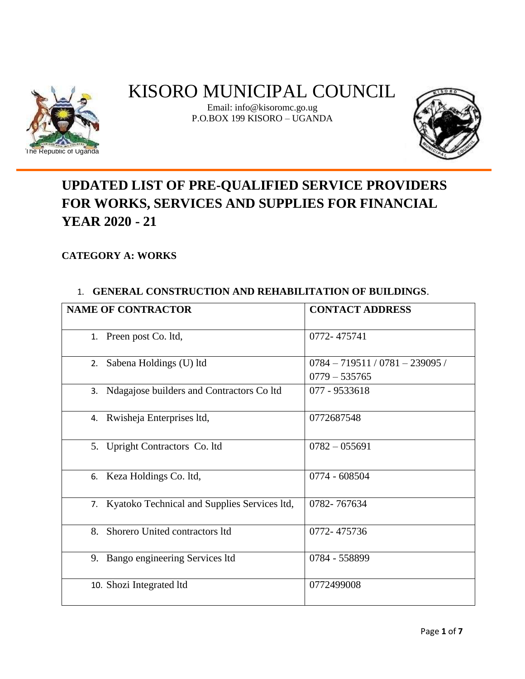

# KISORO MUNICIPAL COUNCIL

Email: info@kisoromc.go.ug P.O.BOX 199 KISORO – UGANDA



# **UPDATED LIST OF PRE-QUALIFIED SERVICE PROVIDERS FOR WORKS, SERVICES AND SUPPLIES FOR FINANCIAL YEAR 2020 - 21**

# **CATEGORY A: WORKS**

### 1. **GENERAL CONSTRUCTION AND REHABILITATION OF BUILDINGS**.

| <b>NAME OF CONTRACTOR</b>                       | <b>CONTACT ADDRESS</b>            |
|-------------------------------------------------|-----------------------------------|
|                                                 |                                   |
| 1. Preen post Co. ltd,                          | 0772-475741                       |
|                                                 |                                   |
| 2. Sabena Holdings (U) ltd                      | $0784 - 719511 / 0781 - 239095 /$ |
|                                                 | $0779 - 535765$                   |
| 3. Ndagajose builders and Contractors Co ltd    | 077 - 9533618                     |
|                                                 |                                   |
| 4. Rwisheja Enterprises ltd,                    | 0772687548                        |
|                                                 |                                   |
| 5. Upright Contractors Co. ltd                  | $0782 - 055691$                   |
|                                                 |                                   |
| 6. Keza Holdings Co. ltd,                       | 0774 - 608504                     |
|                                                 |                                   |
| 7. Kyatoko Technical and Supplies Services ltd, | 0782-767634                       |
|                                                 |                                   |
| 8. Shorero United contractors ltd               | 0772-475736                       |
|                                                 |                                   |
| 9. Bango engineering Services ltd               | 0784 - 558899                     |
|                                                 |                                   |
| 10. Shozi Integrated ltd                        | 0772499008                        |
|                                                 |                                   |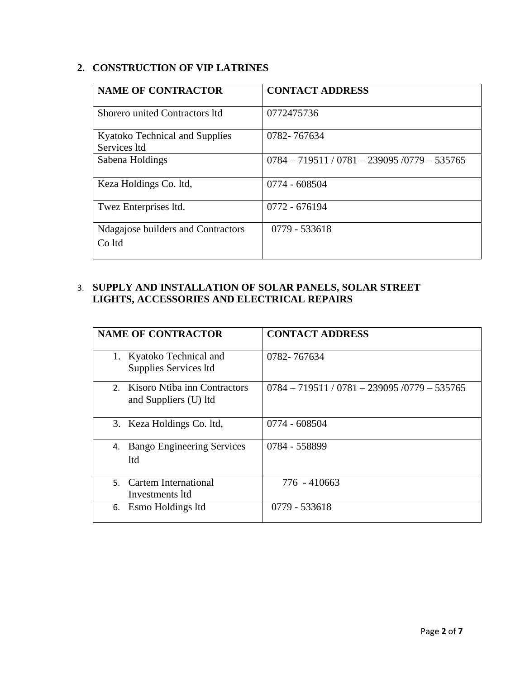# **2. CONSTRUCTION OF VIP LATRINES**

| <b>NAME OF CONTRACTOR</b>                      | <b>CONTACT ADDRESS</b>                          |
|------------------------------------------------|-------------------------------------------------|
| Shorero united Contractors Itd                 | 0772475736                                      |
| Kyatoko Technical and Supplies<br>Services Itd | 0782-767634                                     |
| Sabena Holdings                                | $0784 - 719511 / 0781 - 239095 / 0779 - 535765$ |
| Keza Holdings Co. ltd,                         | 0774 - 608504                                   |
| Twez Enterprises Itd.                          | 0772 - 676194                                   |
| Ndagajose builders and Contractors<br>Co Itd   | 0779 - 533618                                   |

# 3. **SUPPLY AND INSTALLATION OF SOLAR PANELS, SOLAR STREET LIGHTS, ACCESSORIES AND ELECTRICAL REPAIRS**

|    | <b>NAME OF CONTRACTOR</b>                                | <b>CONTACT ADDRESS</b>                          |
|----|----------------------------------------------------------|-------------------------------------------------|
|    | 1. Kyatoko Technical and<br>Supplies Services ltd        | 0782-767634                                     |
|    | 2. Kisoro Ntiba inn Contractors<br>and Suppliers (U) ltd | $0784 - 719511 / 0781 - 239095 / 0779 - 535765$ |
|    | 3. Keza Holdings Co. ltd,                                | 0774 - 608504                                   |
| 4. | <b>Bango Engineering Services</b><br><b>ltd</b>          | 0784 - 558899                                   |
|    | 5. Cartem International<br>Investments Itd               | 776 - 410663                                    |
|    | 6. Esmo Holdings ltd                                     | 0779 - 533618                                   |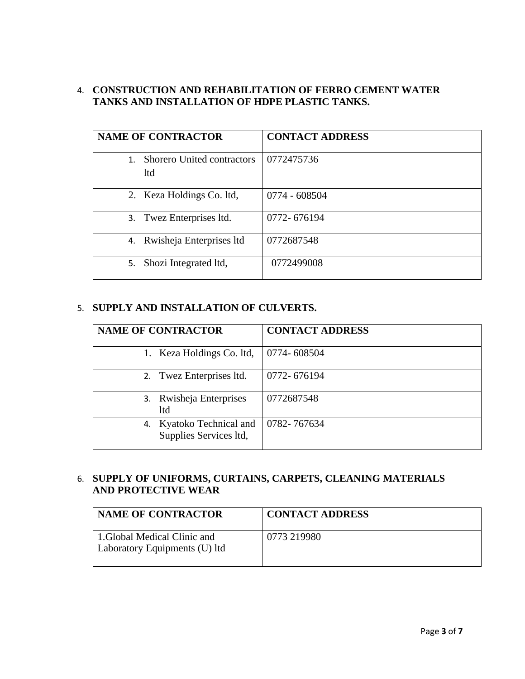#### 4. **CONSTRUCTION AND REHABILITATION OF FERRO CEMENT WATER TANKS AND INSTALLATION OF HDPE PLASTIC TANKS.**

| <b>NAME OF CONTRACTOR</b>                   | <b>CONTACT ADDRESS</b> |
|---------------------------------------------|------------------------|
| 1. Shorero United contractors<br><b>ltd</b> | 0772475736             |
| 2. Keza Holdings Co. ltd,                   | 0774 - 608504          |
| 3. Twez Enterprises ltd.                    | 0772-676194            |
| 4. Rwisheja Enterprises Itd                 | 0772687548             |
| Shozi Integrated ltd,<br>5.                 | 0772499008             |

#### 5. **SUPPLY AND INSTALLATION OF CULVERTS.**

| <b>NAME OF CONTRACTOR</b>                             | <b>CONTACT ADDRESS</b> |
|-------------------------------------------------------|------------------------|
| 1. Keza Holdings Co. ltd,                             | 0774-608504            |
| 2. Twez Enterprises ltd.                              | 0772-676194            |
| Rwisheja Enterprises<br>3.<br>ltd                     | 0772687548             |
| Kyatoko Technical and<br>4.<br>Supplies Services ltd, | 0782-767634            |

# 6. **SUPPLY OF UNIFORMS, CURTAINS, CARPETS, CLEANING MATERIALS AND PROTECTIVE WEAR**

| <b>NAME OF CONTRACTOR</b>                                     | <b>CONTACT ADDRESS</b> |
|---------------------------------------------------------------|------------------------|
| 1. Global Medical Clinic and<br>Laboratory Equipments (U) ltd | 0773 219980            |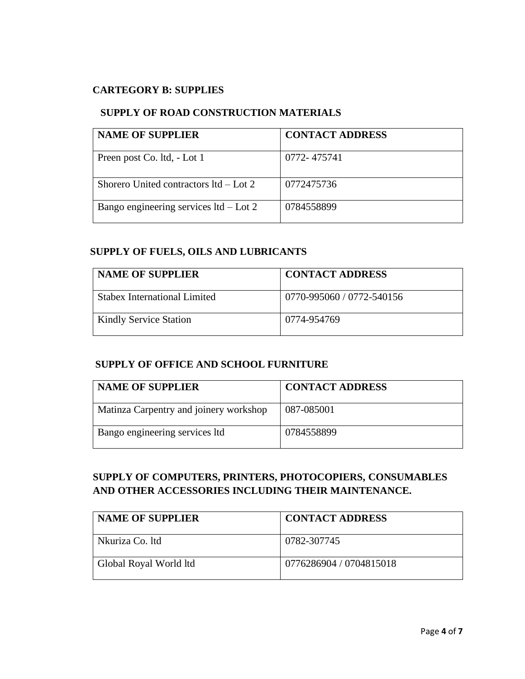#### **CARTEGORY B: SUPPLIES**

#### **SUPPLY OF ROAD CONSTRUCTION MATERIALS**

| <b>NAME OF SUPPLIER</b>                  | <b>CONTACT ADDRESS</b> |
|------------------------------------------|------------------------|
| Preen post Co. ltd, - Lot 1              | 0772-475741            |
| Shorero United contractors $1td$ – Lot 2 | 0772475736             |
| Bango engineering services $ltd$ – Lot 2 | 0784558899             |

#### **SUPPLY OF FUELS, OILS AND LUBRICANTS**

| <b>NAME OF SUPPLIER</b>       | <b>CONTACT ADDRESS</b>    |
|-------------------------------|---------------------------|
| Stabex International Limited  | 0770-995060 / 0772-540156 |
| <b>Kindly Service Station</b> | 0774-954769               |

#### **SUPPLY OF OFFICE AND SCHOOL FURNITURE**

| <b>NAME OF SUPPLIER</b>                | <b>CONTACT ADDRESS</b> |
|----------------------------------------|------------------------|
| Matinza Carpentry and joinery workshop | 087-085001             |
| Bango engineering services ltd         | 0784558899             |

# **SUPPLY OF COMPUTERS, PRINTERS, PHOTOCOPIERS, CONSUMABLES AND OTHER ACCESSORIES INCLUDING THEIR MAINTENANCE.**

| <b>NAME OF SUPPLIER</b> | <b>CONTACT ADDRESS</b>  |
|-------------------------|-------------------------|
| Nkuriza Co. Itd         | 0782-307745             |
| Global Royal World ltd  | 0776286904 / 0704815018 |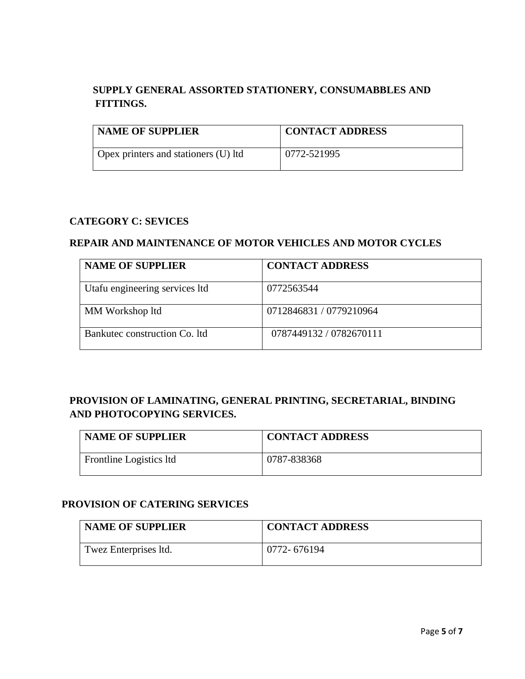# **SUPPLY GENERAL ASSORTED STATIONERY, CONSUMABBLES AND FITTINGS.**

| <b>NAME OF SUPPLIER</b>              | <b>CONTACT ADDRESS</b> |
|--------------------------------------|------------------------|
| Opex printers and stationers (U) ltd | 0772-521995            |

#### **CATEGORY C: SEVICES**

#### **REPAIR AND MAINTENANCE OF MOTOR VEHICLES AND MOTOR CYCLES**

| <b>NAME OF SUPPLIER</b>        | <b>CONTACT ADDRESS</b>  |
|--------------------------------|-------------------------|
| Utafu engineering services ltd | 0772563544              |
| MM Workshop ltd                | 0712846831 / 0779210964 |
| Bankutec construction Co. Itd. | 0787449132 / 0782670111 |

# **PROVISION OF LAMINATING, GENERAL PRINTING, SECRETARIAL, BINDING AND PHOTOCOPYING SERVICES.**

| <b>NAME OF SUPPLIER</b> | <b>CONTACT ADDRESS</b> |
|-------------------------|------------------------|
| Frontline Logistics ltd | 0787-838368            |

#### **PROVISION OF CATERING SERVICES**

| <b>NAME OF SUPPLIER</b> | <b>CONTACT ADDRESS</b> |
|-------------------------|------------------------|
| Twez Enterprises Itd.   | 0772-676194            |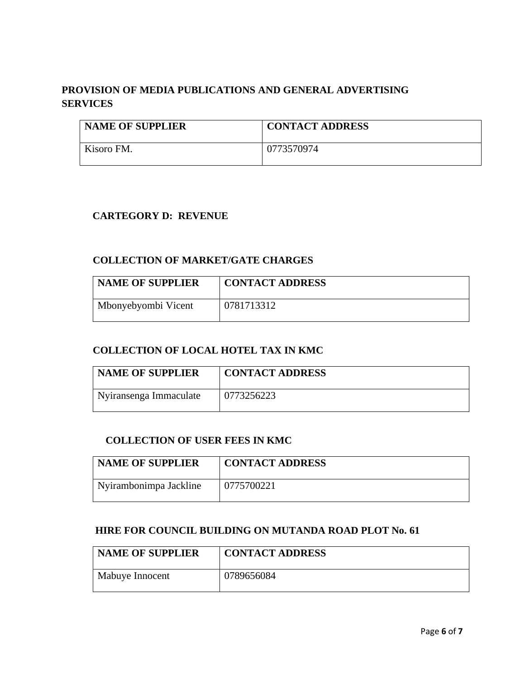# **PROVISION OF MEDIA PUBLICATIONS AND GENERAL ADVERTISING SERVICES**

| <b>NAME OF SUPPLIER</b> | <b>CONTACT ADDRESS</b> |
|-------------------------|------------------------|
| Kisoro FM.              | 0773570974             |

#### **CARTEGORY D: REVENUE**

#### **COLLECTION OF MARKET/GATE CHARGES**

| <b>NAME OF SUPPLIER</b> | <b>CONTACT ADDRESS</b> |
|-------------------------|------------------------|
| Mbonyebyombi Vicent     | 0781713312             |

#### **COLLECTION OF LOCAL HOTEL TAX IN KMC**

| <b>NAME OF SUPPLIER</b> | <b>CONTACT ADDRESS</b> |
|-------------------------|------------------------|
| Nyiransenga Immaculate  | 0773256223             |

#### **COLLECTION OF USER FEES IN KMC**

| <b>NAME OF SUPPLIER</b> | <b>CONTACT ADDRESS</b> |
|-------------------------|------------------------|
| Nyirambonimpa Jackline  | 0775700221             |

#### **HIRE FOR COUNCIL BUILDING ON MUTANDA ROAD PLOT No. 61**

| <b>NAME OF SUPPLIER</b> | <b>CONTACT ADDRESS</b> |
|-------------------------|------------------------|
| Mabuye Innocent         | 0789656084             |